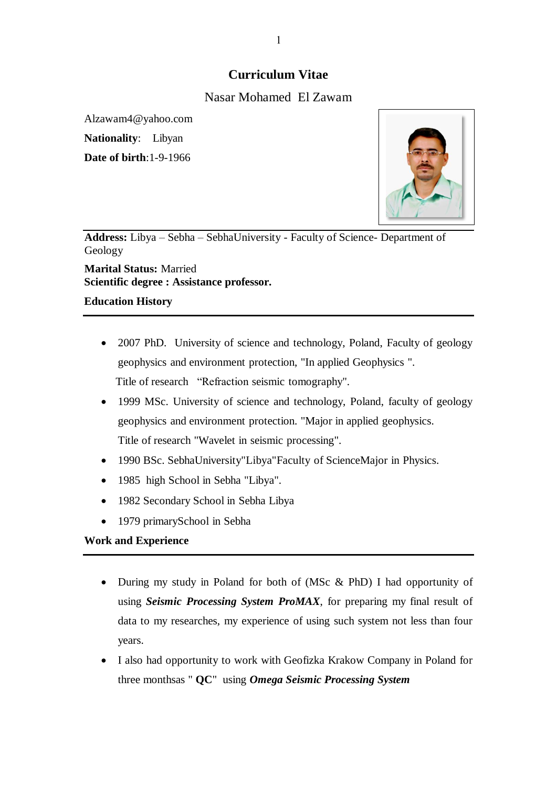# **Curriculum Vitae**

## Nasar Mohamed El Zawam

Alzawam4@yahoo.com

**Nationality**: Libyan

**Date of birth**:1-9-1966



**Address:** Libya – Sebha – SebhaUniversity - Faculty of Science- Department of Geology

**Marital Status:** Married **Scientific degree : Assistance professor.** 

## **Education History**

- 2007 PhD. University of science and technology, Poland, Faculty of geology geophysics and environment protection, "In applied Geophysics ". Title of research "Refraction seismic tomography".
- 1999 MSc. University of science and technology, Poland, faculty of geology geophysics and environment protection. "Major in applied geophysics. Title of research "Wavelet in seismic processing".
- 1990 BSc. SebhaUniversity"Libya"Faculty of ScienceMajor in Physics.
- 1985 high School in Sebha "Libya".
- 1982 Secondary School in Sebha Libya
- 1979 primarySchool in Sebha

## **Work and Experience**

- During my study in Poland for both of (MSc & PhD) I had opportunity of using *Seismic Processing System ProMAX*, for preparing my final result of data to my researches, my experience of using such system not less than four years.
- I also had opportunity to work with Geofizka Krakow Company in Poland for three monthsas " **QC**" using *Omega Seismic Processing System*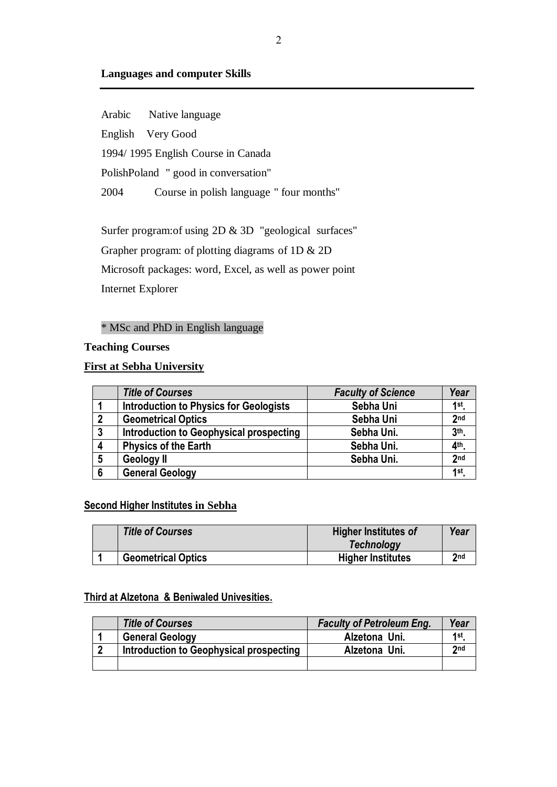## **Languages and computer Skills**

Arabic Native language English Very Good 1994/ 1995 English Course in Canada PolishPoland " good in conversation" 2004 Course in polish language " four months"

Surfer program:of using 2D & 3D "geological surfaces" Grapher program: of plotting diagrams of 1D & 2D Microsoft packages: word, Excel, as well as power point Internet Explorer

## \* MSc and PhD in English language

#### **Teaching Courses**

## **First at Sebha University**

|                  | <b>Title of Courses</b>                       | <b>Faculty of Science</b> | Year              |
|------------------|-----------------------------------------------|---------------------------|-------------------|
|                  | <b>Introduction to Physics for Geologists</b> | Sebha Uni                 | 1st               |
| 2                | <b>Geometrical Optics</b>                     | Sebha Uni                 | 2 <sub>nd</sub>   |
| $\boldsymbol{3}$ | Introduction to Geophysical prospecting       | Sebha Uni.                | 3 <sup>th</sup> . |
|                  | <b>Physics of the Earth</b>                   | Sebha Uni.                | $4th$ .           |
| 5                | <b>Geology II</b>                             | Sebha Uni.                | 2 <sub>nd</sub>   |
| 6                | <b>General Geology</b>                        |                           | 1st.              |

## **Second Higher Institutes in Sebha**

| <b>Title of Courses</b>   | <b>Higher Institutes of</b><br><b>Technology</b> | Year |
|---------------------------|--------------------------------------------------|------|
| <b>Geometrical Optics</b> | <b>Higher Institutes</b>                         | 2nd  |

## **Third at Alzetona & Beniwaled Univesities.**

|   | <b>Title of Courses</b>                 | <b>Faculty of Petroleum Eng.</b> | Year |
|---|-----------------------------------------|----------------------------------|------|
|   | <b>General Geology</b>                  | Alzetona Uni.                    | 1st  |
| n | Introduction to Geophysical prospecting | Alzetona Uni.                    | 2nd  |
|   |                                         |                                  |      |